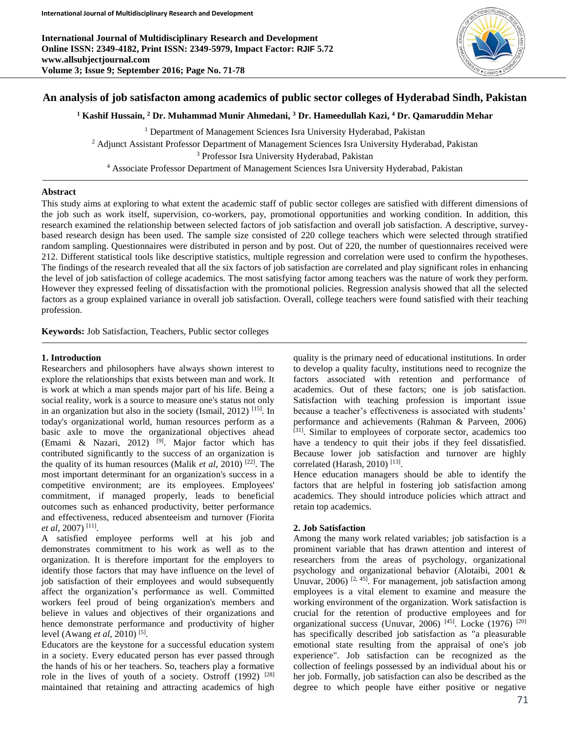

# **An analysis of job satisfacton among academics of public sector colleges of Hyderabad Sindh, Pakistan**

# **<sup>1</sup> Kashif Hussain, <sup>2</sup> Dr. Muhammad Munir Ahmedani, <sup>3</sup> Dr. Hameedullah Kazi, <sup>4</sup> Dr. Qamaruddin Mehar**

<sup>1</sup> Department of Management Sciences Isra University Hyderabad, Pakistan <sup>2</sup> Adjunct Assistant Professor Department of Management Sciences Isra University Hyderabad, Pakistan <sup>3</sup> Professor Isra University Hyderabad, Pakistan <sup>4</sup> Associate Professor Department of Management Sciences Isra University Hyderabad, Pakistan

# **Abstract**

This study aims at exploring to what extent the academic staff of public sector colleges are satisfied with different dimensions of the job such as work itself, supervision, co-workers, pay, promotional opportunities and working condition. In addition, this research examined the relationship between selected factors of job satisfaction and overall job satisfaction. A descriptive, surveybased research design has been used. The sample size consisted of 220 college teachers which were selected through stratified random sampling. Questionnaires were distributed in person and by post. Out of 220, the number of questionnaires received were 212. Different statistical tools like descriptive statistics, multiple regression and correlation were used to confirm the hypotheses. The findings of the research revealed that all the six factors of job satisfaction are correlated and play significant roles in enhancing the level of job satisfaction of college academics. The most satisfying factor among teachers was the nature of work they perform. However they expressed feeling of dissatisfaction with the promotional policies. Regression analysis showed that all the selected factors as a group explained variance in overall job satisfaction. Overall, college teachers were found satisfied with their teaching profession.

**Keywords:** Job Satisfaction, Teachers, Public sector colleges

# **1. Introduction**

Researchers and philosophers have always shown interest to explore the relationships that exists between man and work. It is work at which a man spends major part of his life. Being a social reality, work is a source to measure one's status not only in an organization but also in the society (Ismail, 2012) <sup>[15]</sup>. In today's organizational world, human resources perform as a basic axle to move the organizational objectives ahead (Emami & Nazari, 2012) <sup>[9]</sup>. Major factor which has contributed significantly to the success of an organization is the quality of its human resources (Malik *et al*, 2010) [22]. The most important determinant for an organization's success in a competitive environment; are its employees. Employees' commitment, if managed properly, leads to beneficial outcomes such as enhanced productivity, better performance and effectiveness, reduced absenteeism and turnover (Fiorita *et al*, 2007) [11] .

A satisfied employee performs well at his job and demonstrates commitment to his work as well as to the organization. It is therefore important for the employers to identify those factors that may have influence on the level of job satisfaction of their employees and would subsequently affect the organization's performance as well. Committed workers feel proud of being organization's members and believe in values and objectives of their organizations and hence demonstrate performance and productivity of higher level (Awang *et al*, 2010) [5] .

Educators are the keystone for a successful education system in a society. Every educated person has ever passed through the hands of his or her teachers. So, teachers play a formative role in the lives of youth of a society. Ostroff  $(1992)$ <sup>[28]</sup> maintained that retaining and attracting academics of high

quality is the primary need of educational institutions. In order to develop a quality faculty, institutions need to recognize the factors associated with retention and performance of academics. Out of these factors; one is job satisfaction. Satisfaction with teaching profession is important issue because a teacher's effectiveness is associated with students' performance and achievements (Rahman & Parveen, 2006) [31]. Similar to employees of corporate sector, academics too have a tendency to quit their jobs if they feel dissatisfied. Because lower job satisfaction and turnover are highly correlated (Harash, 2010)<sup>[13]</sup>.

Hence education managers should be able to identify the factors that are helpful in fostering job satisfaction among academics. They should introduce policies which attract and retain top academics.

# **2. Job Satisfaction**

Among the many work related variables; job satisfaction is a prominent variable that has drawn attention and interest of researchers from the areas of psychology, organizational psychology and organizational behavior (Alotaibi, 2001 & Unuvar,  $2006$ ) <sup>[2, 45]</sup>. For management, job satisfaction among employees is a vital element to examine and measure the working environment of the organization. Work satisfaction is crucial for the retention of productive employees and for organizational success (Unuvar, 2006) [45]. Locke (1976) [20] has specifically described job satisfaction as "a pleasurable emotional state resulting from the appraisal of one's job experience". Job satisfaction can be recognized as the collection of feelings possessed by an individual about his or her job. Formally, job satisfaction can also be described as the degree to which people have either positive or negative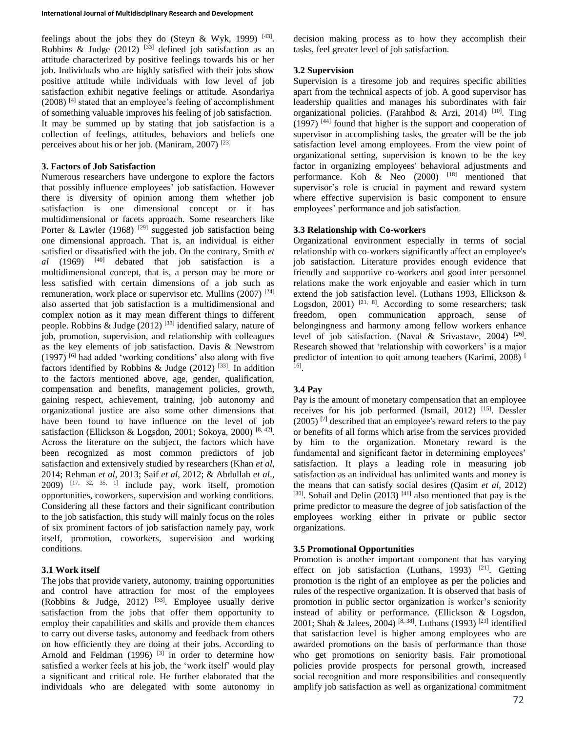feelings about the jobs they do (Steyn & Wyk, 1999)  $[43]$ . Robbins & Judge (2012)  $[33]$  defined job satisfaction as an attitude characterized by positive feelings towards his or her job. Individuals who are highly satisfied with their jobs show positive attitude while individuals with low level of job satisfaction exhibit negative feelings or attitude. Asondariya  $(2008)$ <sup>[4]</sup> stated that an employee's feeling of accomplishment of something valuable improves his feeling of job satisfaction. It may be summed up by stating that job satisfaction is a collection of feelings, attitudes, behaviors and beliefs one perceives about his or her job. (Maniram,  $2007$ ) <sup>[23]</sup>

### **3. Factors of Job Satisfaction**

Numerous researchers have undergone to explore the factors that possibly influence employees' job satisfaction. However there is diversity of opinion among them whether job satisfaction is one dimensional concept or it has multidimensional or facets approach. Some researchers like Porter & Lawler (1968) <sup>[29]</sup> suggested job satisfaction being one dimensional approach. That is, an individual is either satisfied or dissatisfied with the job. On the contrary, Smith *et*   $al$  (1969)  $[40]$  debated that job satisfaction is a multidimensional concept, that is, a person may be more or less satisfied with certain dimensions of a job such as remuneration, work place or supervisor etc. Mullins (2007) <sup>[24]</sup> also asserted that job satisfaction is a multidimensional and complex notion as it may mean different things to different people. Robbins & Judge (2012) [33] identified salary, nature of job, promotion, supervision, and relationship with colleagues as the key elements of job satisfaction. Davis & Newstrom  $(1997)$  [6] had added 'working conditions' also along with five factors identified by Robbins & Judge (2012) [33]. In addition to the factors mentioned above, age, gender, qualification, compensation and benefits, management policies, growth, gaining respect, achievement, training, job autonomy and organizational justice are also some other dimensions that have been found to have influence on the level of job satisfaction (Ellickson & Logsdon, 2001; Sokoya, 2000)<sup>[8, 42]</sup>. Across the literature on the subject, the factors which have been recognized as most common predictors of job satisfaction and extensively studied by researchers (Khan *et al*, 2014; Rehman *et al*, 2013; Saif *et al*, 2012; & Abdullah *et al*.,  $2009$ )  $[17, 32, 35, 1]$  include pay, work itself, promotion opportunities, coworkers, supervision and working conditions. Considering all these factors and their significant contribution to the job satisfaction, this study will mainly focus on the roles of six prominent factors of job satisfaction namely pay, work itself, promotion, coworkers, supervision and working conditions.

## **3.1 Work itself**

The jobs that provide variety, autonomy, training opportunities and control have attraction for most of the employees (Robbins & Judge, 2012)  $^{[33]}$ . Employee usually derive satisfaction from the jobs that offer them opportunity to employ their capabilities and skills and provide them chances to carry out diverse tasks, autonomy and feedback from others on how efficiently they are doing at their jobs. According to Arnold and Feldman  $(1996)$ <sup>[3]</sup> in order to determine how satisfied a worker feels at his job, the 'work itself' would play a significant and critical role. He further elaborated that the individuals who are delegated with some autonomy in

decision making process as to how they accomplish their tasks, feel greater level of job satisfaction.

# **3.2 Supervision**

Supervision is a tiresome job and requires specific abilities apart from the technical aspects of job. A good supervisor has leadership qualities and manages his subordinates with fair organizational policies. (Farahbod & Arzi, 2014) [10]. Ting (1997) [44] found that higher is the support and cooperation of supervisor in accomplishing tasks, the greater will be the job satisfaction level among employees. From the view point of organizational setting, supervision is known to be the key factor in organizing employees' behavioral adjustments and performance. Koh  $\&$  Neo (2000) <sup>[18]</sup> mentioned that supervisor's role is crucial in payment and reward system where effective supervision is basic component to ensure employees' performance and job satisfaction.

# **3.3 Relationship with Co-workers**

Organizational environment especially in terms of social relationship with co-workers significantly affect an employee's job satisfaction. Literature provides enough evidence that friendly and supportive co-workers and good inter personnel relations make the work enjoyable and easier which in turn extend the job satisfaction level. (Luthans 1993, Ellickson & Logsdon, 2001)  $[21, 8]$ . According to some researchers; task freedom, open communication approach, sense of belongingness and harmony among fellow workers enhance level of job satisfaction. (Naval & Srivastave, 2004)  $^{[26]}$ . Research showed that 'relationship with coworkers' is a major predictor of intention to quit among teachers (Karimi, 2008)<sup>[</sup> 16] .

# **3.4 Pay**

Pay is the amount of monetary compensation that an employee receives for his job performed (Ismail, 2012) [15]. Dessler  $(2005)$ <sup>[7]</sup> described that an employee's reward refers to the pay or benefits of all forms which arise from the services provided by him to the organization. Monetary reward is the fundamental and significant factor in determining employees' satisfaction. It plays a leading role in measuring job satisfaction as an individual has unlimited wants and money is the means that can satisfy social desires (Qasim *et al*, 2012)  $[30]$ . Sohail and Delin (2013)  $[41]$  also mentioned that pay is the prime predictor to measure the degree of job satisfaction of the employees working either in private or public sector organizations.

# **3.5 Promotional Opportunities**

Promotion is another important component that has varying effect on job satisfaction (Luthans, 1993) [21]. Getting promotion is the right of an employee as per the policies and rules of the respective organization. It is observed that basis of promotion in public sector organization is worker's seniority instead of ability or performance. (Ellickson & Logsdon, 2001; Shah & Jalees, 2004) [8, 38]. Luthans (1993) [21] identified that satisfaction level is higher among employees who are awarded promotions on the basis of performance than those who get promotions on seniority basis. Fair promotional policies provide prospects for personal growth, increased social recognition and more responsibilities and consequently amplify job satisfaction as well as organizational commitment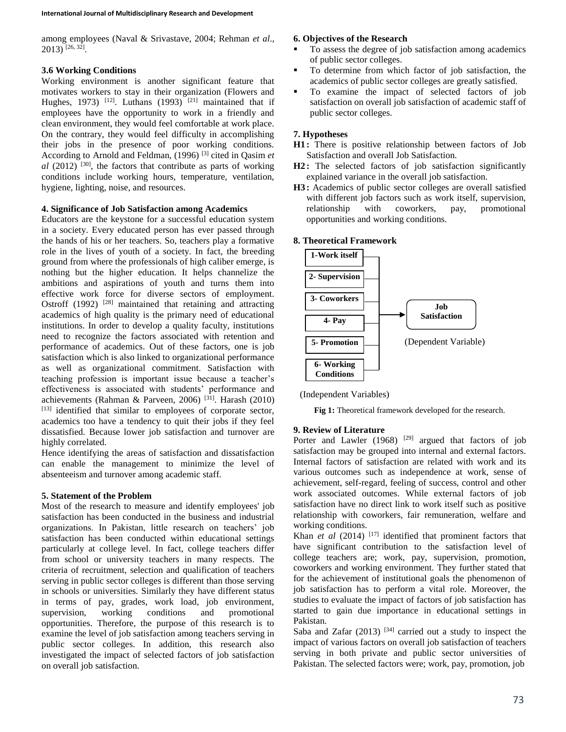among employees (Naval & Srivastave, 2004; Rehman *et al*., 2013) [26, 32] .

## **3.6 Working Conditions**

Working environment is another significant feature that motivates workers to stay in their organization (Flowers and Hughes, 1973) <sup>[12]</sup>. Luthans (1993)<sup>[21]</sup> maintained that if employees have the opportunity to work in a friendly and clean environment, they would feel comfortable at work place. On the contrary, they would feel difficulty in accomplishing their jobs in the presence of poor working conditions. According to Arnold and Feldman, (1996) [3] cited in Qasim *et*   $al$  (2012) <sup>[30]</sup>, the factors that contribute as parts of working conditions include working hours, temperature, ventilation, hygiene, lighting, noise, and resources.

# **4. Significance of Job Satisfaction among Academics**

Educators are the keystone for a successful education system in a society. Every educated person has ever passed through the hands of his or her teachers. So, teachers play a formative role in the lives of youth of a society. In fact, the breeding ground from where the professionals of high caliber emerge, is nothing but the higher education. It helps channelize the ambitions and aspirations of youth and turns them into effective work force for diverse sectors of employment. Ostroff (1992)<sup>[28]</sup> maintained that retaining and attracting academics of high quality is the primary need of educational institutions. In order to develop a quality faculty, institutions need to recognize the factors associated with retention and performance of academics. Out of these factors, one is job satisfaction which is also linked to organizational performance as well as organizational commitment. Satisfaction with teaching profession is important issue because a teacher's effectiveness is associated with students' performance and achievements (Rahman & Parveen, 2006) <sup>[31]</sup>. Harash (2010) [13] identified that similar to employees of corporate sector, academics too have a tendency to quit their jobs if they feel dissatisfied. Because lower job satisfaction and turnover are highly correlated.

Hence identifying the areas of satisfaction and dissatisfaction can enable the management to minimize the level of absenteeism and turnover among academic staff.

## **5. Statement of the Problem**

Most of the research to measure and identify employees' job satisfaction has been conducted in the business and industrial organizations. In Pakistan, little research on teachers' job satisfaction has been conducted within educational settings particularly at college level. In fact, college teachers differ from school or university teachers in many respects. The criteria of recruitment, selection and qualification of teachers serving in public sector colleges is different than those serving in schools or universities. Similarly they have different status in terms of pay, grades, work load, job environment, supervision, working conditions and promotional opportunities. Therefore, the purpose of this research is to examine the level of job satisfaction among teachers serving in public sector colleges. In addition, this research also investigated the impact of selected factors of job satisfaction on overall job satisfaction.

#### **6. Objectives of the Research**

- To assess the degree of job satisfaction among academics of public sector colleges.
- To determine from which factor of job satisfaction, the academics of public sector colleges are greatly satisfied.
- To examine the impact of selected factors of job satisfaction on overall job satisfaction of academic staff of public sector colleges.

### **7. Hypotheses**

- **H1 :** There is positive relationship between factors of Job Satisfaction and overall Job Satisfaction.
- **H2 :** The selected factors of job satisfaction significantly explained variance in the overall job satisfaction.
- **H3 :** Academics of public sector colleges are overall satisfied with different job factors such as work itself, supervision, relationship with coworkers, pay, promotional opportunities and working conditions.

#### **8. Theoretical Framework**



(Independent Variables)

**Fig 1:** Theoretical framework developed for the research.

#### **9. Review of Literature**

Porter and Lawler  $(1968)$  <sup>[29]</sup> argued that factors of job satisfaction may be grouped into internal and external factors. Internal factors of satisfaction are related with work and its various outcomes such as independence at work, sense of achievement, self-regard, feeling of success, control and other work associated outcomes. While external factors of job satisfaction have no direct link to work itself such as positive relationship with coworkers, fair remuneration, welfare and working conditions.

Khan *et al* (2014)<sup>[17]</sup> identified that prominent factors that have significant contribution to the satisfaction level of college teachers are; work, pay, supervision, promotion, coworkers and working environment. They further stated that for the achievement of institutional goals the phenomenon of job satisfaction has to perform a vital role. Moreover, the studies to evaluate the impact of factors of job satisfaction has started to gain due importance in educational settings in Pakistan.

Saba and Zafar  $(2013)$  <sup>[34]</sup> carried out a study to inspect the impact of various factors on overall job satisfaction of teachers serving in both private and public sector universities of Pakistan. The selected factors were; work, pay, promotion, job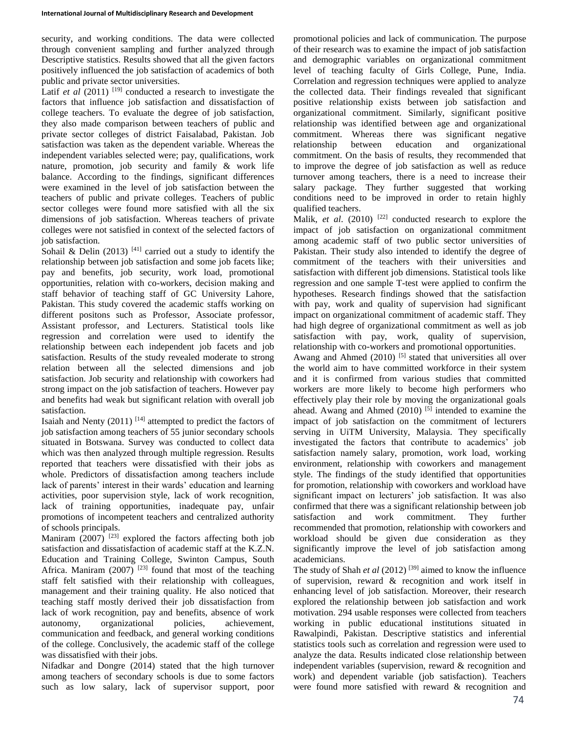security, and working conditions. The data were collected through convenient sampling and further analyzed through Descriptive statistics. Results showed that all the given factors positively influenced the job satisfaction of academics of both public and private sector universities.

Latif *et al*  $(2011)$ <sup>[19]</sup> conducted a research to investigate the factors that influence job satisfaction and dissatisfaction of college teachers. To evaluate the degree of job satisfaction, they also made comparison between teachers of public and private sector colleges of district Faisalabad, Pakistan. Job satisfaction was taken as the dependent variable. Whereas the independent variables selected were; pay, qualifications, work nature, promotion, job security and family & work life balance. According to the findings, significant differences were examined in the level of job satisfaction between the teachers of public and private colleges. Teachers of public sector colleges were found more satisfied with all the six dimensions of job satisfaction. Whereas teachers of private colleges were not satisfied in context of the selected factors of job satisfaction.

Sohail & Delin (2013)  $[41]$  carried out a study to identify the relationship between job satisfaction and some job facets like; pay and benefits, job security, work load, promotional opportunities, relation with co-workers, decision making and staff behavior of teaching staff of GC University Lahore, Pakistan. This study covered the academic staffs working on different positons such as Professor, Associate professor, Assistant professor, and Lecturers. Statistical tools like regression and correlation were used to identify the relationship between each independent job facets and job satisfaction. Results of the study revealed moderate to strong relation between all the selected dimensions and job satisfaction. Job security and relationship with coworkers had strong impact on the job satisfaction of teachers. However pay and benefits had weak but significant relation with overall job satisfaction.

Isaiah and Nenty  $(2011)$ <sup>[14]</sup> attempted to predict the factors of job satisfaction among teachers of 55 junior secondary schools situated in Botswana. Survey was conducted to collect data which was then analyzed through multiple regression. Results reported that teachers were dissatisfied with their jobs as whole. Predictors of dissatisfaction among teachers include lack of parents' interest in their wards' education and learning activities, poor supervision style, lack of work recognition, lack of training opportunities, inadequate pay, unfair promotions of incompetent teachers and centralized authority of schools principals.

Maniram  $(2007)$ <sup>[23]</sup> explored the factors affecting both job satisfaction and dissatisfaction of academic staff at the K.Z.N. Education and Training College, Swinton Campus, South Africa. Maniram  $(2007)$ <sup>[23]</sup> found that most of the teaching staff felt satisfied with their relationship with colleagues, management and their training quality. He also noticed that teaching staff mostly derived their job dissatisfaction from lack of work recognition, pay and benefits, absence of work autonomy, organizational policies, achievement, communication and feedback, and general working conditions of the college. Conclusively, the academic staff of the college was dissatisfied with their jobs.

Nifadkar and Dongre (2014) stated that the high turnover among teachers of secondary schools is due to some factors such as low salary, lack of supervisor support, poor

promotional policies and lack of communication. The purpose of their research was to examine the impact of job satisfaction and demographic variables on organizational commitment level of teaching faculty of Girls College, Pune, India. Correlation and regression techniques were applied to analyze the collected data. Their findings revealed that significant positive relationship exists between job satisfaction and organizational commitment. Similarly, significant positive relationship was identified between age and organizational commitment. Whereas there was significant negative relationship between education and organizational commitment. On the basis of results, they recommended that to improve the degree of job satisfaction as well as reduce turnover among teachers, there is a need to increase their salary package. They further suggested that working conditions need to be improved in order to retain highly qualified teachers.

Malik, *et al.* (2010)<sup>[22]</sup> conducted research to explore the impact of job satisfaction on organizational commitment among academic staff of two public sector universities of Pakistan. Their study also intended to identify the degree of commitment of the teachers with their universities and satisfaction with different job dimensions. Statistical tools like regression and one sample T-test were applied to confirm the hypotheses. Research findings showed that the satisfaction with pay, work and quality of supervision had significant impact on organizational commitment of academic staff. They had high degree of organizational commitment as well as job satisfaction with pay, work, quality of supervision, relationship with co-workers and promotional opportunities. Awang and Ahmed  $(2010)$  <sup>[5]</sup> stated that universities all over the world aim to have committed workforce in their system and it is confirmed from various studies that committed workers are more likely to become high performers who effectively play their role by moving the organizational goals ahead. Awang and Ahmed (2010)<sup>[5]</sup> intended to examine the impact of job satisfaction on the commitment of lecturers serving in UiTM University, Malaysia. They specifically investigated the factors that contribute to academics' job satisfaction namely salary, promotion, work load, working environment, relationship with coworkers and management style. The findings of the study identified that opportunities for promotion, relationship with coworkers and workload have significant impact on lecturers' job satisfaction. It was also confirmed that there was a significant relationship between job satisfaction and work commitment. They further recommended that promotion, relationship with coworkers and workload should be given due consideration as they significantly improve the level of job satisfaction among academicians.

The study of Shah *et al* (2012)<sup>[39]</sup> aimed to know the influence of supervision, reward & recognition and work itself in enhancing level of job satisfaction. Moreover, their research explored the relationship between job satisfaction and work motivation. 294 usable responses were collected from teachers working in public educational institutions situated in Rawalpindi, Pakistan. Descriptive statistics and inferential statistics tools such as correlation and regression were used to analyze the data. Results indicated close relationship between independent variables (supervision, reward & recognition and work) and dependent variable (job satisfaction). Teachers were found more satisfied with reward & recognition and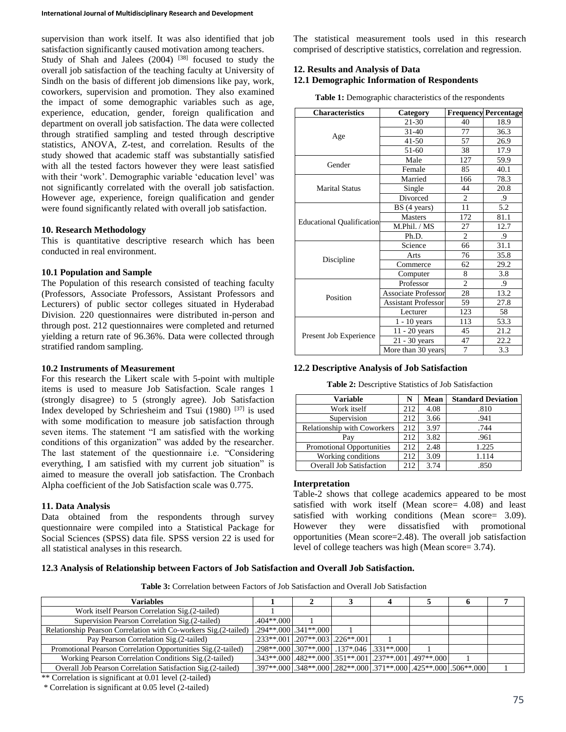supervision than work itself. It was also identified that job satisfaction significantly caused motivation among teachers. Study of Shah and Jalees (2004) <sup>[38]</sup> focused to study the overall job satisfaction of the teaching faculty at University of Sindh on the basis of different job dimensions like pay, work, coworkers, supervision and promotion. They also examined the impact of some demographic variables such as age, experience, education, gender, foreign qualification and department on overall job satisfaction. The data were collected through stratified sampling and tested through descriptive statistics, ANOVA, Z-test, and correlation. Results of the study showed that academic staff was substantially satisfied with all the tested factors however they were least satisfied with their 'work'. Demographic variable 'education level' was not significantly correlated with the overall job satisfaction. However age, experience, foreign qualification and gender were found significantly related with overall job satisfaction.

## **10. Research Methodology**

This is quantitative descriptive research which has been conducted in real environment.

#### **10.1 Population and Sample**

The Population of this research consisted of teaching faculty (Professors, Associate Professors, Assistant Professors and Lecturers) of public sector colleges situated in Hyderabad Division. 220 questionnaires were distributed in-person and through post. 212 questionnaires were completed and returned yielding a return rate of 96.36%. Data were collected through stratified random sampling.

#### **10.2 Instruments of Measurement**

For this research the Likert scale with 5-point with multiple items is used to measure Job Satisfaction. Scale ranges 1 (strongly disagree) to 5 (strongly agree). Job Satisfaction Index developed by Schriesheim and Tsui (1980) [37] is used with some modification to measure job satisfaction through seven items. The statement "I am satisfied with the working conditions of this organization" was added by the researcher. The last statement of the questionnaire i.e. "Considering everything, I am satisfied with my current job situation" is aimed to measure the overall job satisfaction. The Cronbach Alpha coefficient of the Job Satisfaction scale was 0.775.

#### **11. Data Analysis**

Data obtained from the respondents through survey questionnaire were compiled into a Statistical Package for Social Sciences (SPSS) data file. SPSS version 22 is used for all statistical analyses in this research.

The statistical measurement tools used in this research comprised of descriptive statistics, correlation and regression.

# **12. Results and Analysis of Data**

# **12.1 Demographic Information of Respondents**

**Table 1:** Demographic characteristics of the respondents

| <b>Characteristics</b>           | Category                   |                | <b>Frequency Percentage</b> |
|----------------------------------|----------------------------|----------------|-----------------------------|
| Age                              | 21-30                      | 40             | 18.9                        |
|                                  | $31 - 40$                  | 77             | 36.3                        |
|                                  | 41-50                      | 57             | 26.9                        |
|                                  | 51-60                      | 38             | 17.9                        |
| Gender                           | Male                       | 127            | 59.9                        |
|                                  | Female                     | 85             | 40.1                        |
|                                  | Married                    | 166            | 78.3                        |
| <b>Marital Status</b>            | Single                     | 44             | 20.8                        |
|                                  | Divorced                   | 2              | .9                          |
|                                  | BS (4 years)               | 11             | 5.2                         |
|                                  | <b>Masters</b>             | 172            | 81.1                        |
| <b>Educational Qualification</b> | M.Phil. / MS               | 27             | 12.7                        |
|                                  | Ph.D.                      | $\overline{2}$ | .9                          |
|                                  | Science                    | 66             | 31.1                        |
|                                  | Arts                       | 76             | 35.8                        |
| Discipline                       | Commerce                   | 62             | 29.2                        |
|                                  | Computer                   | 8              | 3.8                         |
| Position                         | Professor                  | $\overline{c}$ | .9                          |
|                                  | <b>Associate Professor</b> | 28             | 13.2                        |
|                                  | <b>Assistant Professor</b> | 59             | 27.8                        |
|                                  | Lecturer                   | 123            | 58                          |
| Present Job Experience           | $1 - 10$ years             | 113            | 53.3                        |
|                                  | $11 - 20$ years            | 45             | 21.2                        |
|                                  | $21 - 30$ years            | 47             | 22.2                        |
|                                  | More than 30 years         | 7              | 3.3                         |

#### **12.2 Descriptive Analysis of Job Satisfaction**

**Table 2:** Descriptive Statistics of Job Satisfaction

| Variable                           |     | Mean | <b>Standard Deviation</b> |
|------------------------------------|-----|------|---------------------------|
| Work itself                        | 212 | 4.08 | .810                      |
| Supervision                        | 212 | 3.66 | .941                      |
| <b>Relationship with Coworkers</b> | 212 | 3.97 | .744                      |
| Pay                                | 212 | 3.82 | .961                      |
| Promotional Opportunities          | 212 | 2.48 | 1.225                     |
| Working conditions                 | 212 | 3.09 | 1.114                     |
| <b>Overall Job Satisfaction</b>    | 212 | 3.74 | .850                      |

#### **Interpretation**

Table-2 shows that college academics appeared to be most satisfied with work itself (Mean score= 4.08) and least satisfied with working conditions (Mean score= 3.09). However they were dissatisfied with promotional opportunities (Mean score=2.48). The overall job satisfaction level of college teachers was high (Mean score= 3.74).

## **12.3 Analysis of Relationship between Factors of Job Satisfaction and Overall Job Satisfaction.**

**Table 3:** Correlation between Factors of Job Satisfaction and Overall Job Satisfaction

| Variables                                                       |              |                                                        |  | n                                                             |  |
|-----------------------------------------------------------------|--------------|--------------------------------------------------------|--|---------------------------------------------------------------|--|
| Work itself Pearson Correlation Sig. (2-tailed)                 |              |                                                        |  |                                                               |  |
| Supervision Pearson Correlation Sig. (2-tailed)                 | $.404**.000$ |                                                        |  |                                                               |  |
| Relationship Pearson Correlation with Co-workers Sig.(2-tailed) |              | $.294**.000$ . $.341**.000$                            |  |                                                               |  |
| Pay Pearson Correlation Sig. (2-tailed)                         |              | $.233**.001$ . $.207**.003$ . $.226**.001$             |  |                                                               |  |
| Promotional Pearson Correlation Opportunities Sig.(2-tailed)    |              | $.298**.000$ .307**.000.137*.046.231**.000.            |  |                                                               |  |
| Working Pearson Correlation Conditions Sig.(2-tailed)           |              | .343**.000 .482**.000 .351**.001 .237**.001 .497**.000 |  |                                                               |  |
| Overall Job Pearson Correlation Satisfaction Sig.(2-tailed)     |              |                                                        |  | .397**.000.348**.000.282**.000.371**.000.425**.000.506**.000. |  |

\*\* Correlation is significant at 0.01 level (2-tailed)

\* Correlation is significant at 0.05 level (2-tailed)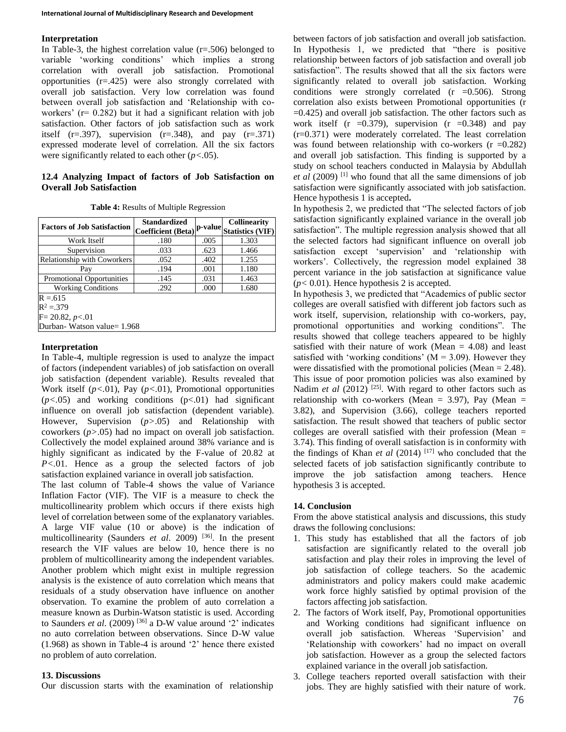## **Interpretation**

In Table-3, the highest correlation value  $(r=.506)$  belonged to variable 'working conditions' which implies a strong correlation with overall job satisfaction. Promotional opportunities (r=.425) were also strongly correlated with overall job satisfaction. Very low correlation was found between overall job satisfaction and 'Relationship with coworkers' ( $r = 0.282$ ) but it had a significant relation with job satisfaction. Other factors of job satisfaction such as work itself  $(r=.397)$ , supervision  $(r=.348)$ , and pay  $(r=.371)$ expressed moderate level of correlation. All the six factors were significantly related to each other (*p<.*05).

## **12.4 Analyzing Impact of factors of Job Satisfaction on Overall Job Satisfaction**

| <b>Table 4: Results of Multiple Regression</b> |  |
|------------------------------------------------|--|
|------------------------------------------------|--|

| <b>Factors of Job Satisfaction</b> | <b>Standardized</b><br><b>Coefficient</b> (Beta) |      | <b>Collinearity</b><br>p-value Statistics (VIF) |  |
|------------------------------------|--------------------------------------------------|------|-------------------------------------------------|--|
| Work Itself                        | .180                                             | .005 | 1.303                                           |  |
| Supervision                        | .033                                             | .623 | 1.466                                           |  |
| Relationship with Coworkers        | .052                                             | .402 | 1.255                                           |  |
| Pay                                | .194                                             | .001 | 1.180                                           |  |
| <b>Promotional Opportunities</b>   | .145                                             | .031 | 1.463                                           |  |
| <b>Working Conditions</b>          | .292                                             | .000 | 1.680                                           |  |
| $R = 615$                          |                                                  |      |                                                 |  |
| $R^2 = 379$                        |                                                  |      |                                                 |  |
| $F = 20.82, p < 01$                |                                                  |      |                                                 |  |
| Durban- Watson value= 1.968        |                                                  |      |                                                 |  |

# **Interpretation**

In Table-4, multiple regression is used to analyze the impact of factors (independent variables) of job satisfaction on overall job satisfaction (dependent variable). Results revealed that Work itself (*p<.*01), Pay (*p<.*01), Promotional opportunities  $(p<.05)$  and working conditions  $(p<.01)$  had significant influence on overall job satisfaction (dependent variable). However, Supervision (*p>*.05) and Relationship with coworkers (*p>*.05) had no impact on overall job satisfaction. Collectively the model explained around 38% variance and is highly significant as indicated by the F-value of 20.82 at *P<.*01. Hence as a group the selected factors of job satisfaction explained variance in overall job satisfaction.

The last column of Table-4 shows the value of Variance Inflation Factor (VIF). The VIF is a measure to check the multicollinearity problem which occurs if there exists high level of correlation between some of the explanatory variables. A large VIF value (10 or above) is the indication of multicollinearity (Saunders *et al.* 2009)<sup>[36]</sup>. In the present research the VIF values are below 10, hence there is no problem of multicollinearity among the independent variables. Another problem which might exist in multiple regression analysis is the existence of auto correlation which means that residuals of a study observation have influence on another observation. To examine the problem of auto correlation a measure known as Durbin-Watson statistic is used. According to Saunders *et al.* (2009)<sup>[36]</sup> a D-W value around '2' indicates no auto correlation between observations. Since D-W value (1.968) as shown in Table-4 is around '2' hence there existed no problem of auto correlation.

#### **13. Discussions**

Our discussion starts with the examination of relationship

between factors of job satisfaction and overall job satisfaction. In Hypothesis 1, we predicted that "there is positive relationship between factors of job satisfaction and overall job satisfaction". The results showed that all the six factors were significantly related to overall job satisfaction. Working conditions were strongly correlated (r =0.506). Strong correlation also exists between Promotional opportunities (r  $=0.425$ ) and overall job satisfaction. The other factors such as work itself (r =  $0.379$ ), supervision (r =  $0.348$ ) and pay (r=0.371) were moderately correlated. The least correlation was found between relationship with co-workers  $(r = 0.282)$ and overall job satisfaction. This finding is supported by a study on school teachers conducted in Malaysia by Abdullah *et al* (2009)<sup>[1]</sup> who found that all the same dimensions of job satisfaction were significantly associated with job satisfaction. Hence hypothesis 1 is accepted**.**

In hypothesis 2, we predicted that "The selected factors of job satisfaction significantly explained variance in the overall job satisfaction". The multiple regression analysis showed that all the selected factors had significant influence on overall job satisfaction except 'supervision' and 'relationship with workers'. Collectively, the regression model explained 38 percent variance in the job satisfaction at significance value (*p<* 0.01). Hence hypothesis 2 is accepted.

In hypothesis 3, we predicted that "Academics of public sector colleges are overall satisfied with different job factors such as work itself, supervision, relationship with co-workers, pay, promotional opportunities and working conditions". The results showed that college teachers appeared to be highly satisfied with their nature of work (Mean  $=$  4.08) and least satisfied with 'working conditions'  $(M = 3.09)$ . However they were dissatisfied with the promotional policies (Mean = 2.48). This issue of poor promotion policies was also examined by Nadim *et al*  $(2012)$ <sup>[25]</sup>. With regard to other factors such as relationship with co-workers (Mean =  $3.97$ ), Pay (Mean = 3.82), and Supervision (3.66), college teachers reported satisfaction. The result showed that teachers of public sector colleges are overall satisfied with their profession (Mean = 3.74). This finding of overall satisfaction is in conformity with the findings of Khan *et al* (2014) [17] who concluded that the selected facets of job satisfaction significantly contribute to improve the job satisfaction among teachers. Hence hypothesis 3 is accepted.

## **14. Conclusion**

From the above statistical analysis and discussions, this study draws the following conclusions:

- 1. This study has established that all the factors of job satisfaction are significantly related to the overall job satisfaction and play their roles in improving the level of job satisfaction of college teachers. So the academic administrators and policy makers could make academic work force highly satisfied by optimal provision of the factors affecting job satisfaction.
- 2. The factors of Work itself, Pay, Promotional opportunities and Working conditions had significant influence on overall job satisfaction. Whereas 'Supervision' and 'Relationship with coworkers' had no impact on overall job satisfaction. However as a group the selected factors explained variance in the overall job satisfaction.
- 3. College teachers reported overall satisfaction with their jobs. They are highly satisfied with their nature of work.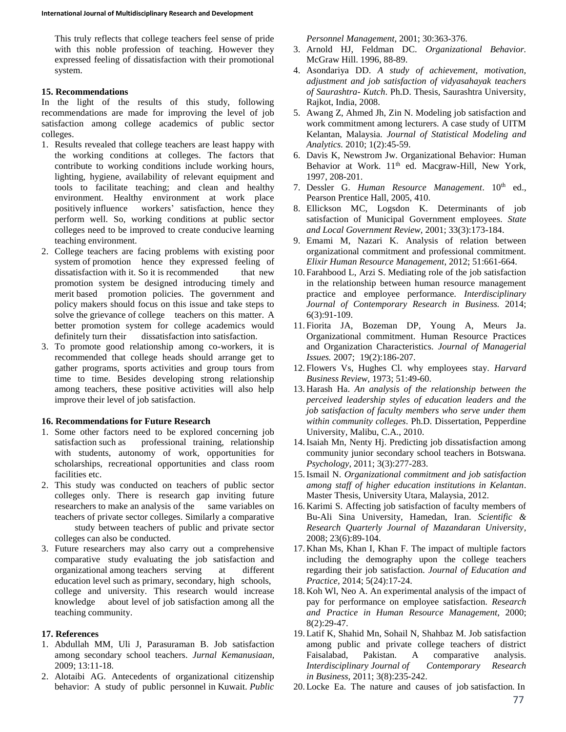This truly reflects that college teachers feel sense of pride with this noble profession of teaching. However they expressed feeling of dissatisfaction with their promotional system.

## **15. Recommendations**

In the light of the results of this study, following recommendations are made for improving the level of job satisfaction among college academics of public sector colleges.

- 1. Results revealed that college teachers are least happy with the working conditions at colleges. The factors that contribute to working conditions include working hours, lighting, hygiene, availability of relevant equipment and tools to facilitate teaching; and clean and healthy environment. Healthy environment at work place positively influence workers' satisfaction, hence they perform well. So, working conditions at public sector colleges need to be improved to create conducive learning teaching environment.
- 2. College teachers are facing problems with existing poor system of promotion hence they expressed feeling of dissatisfaction with it. So it is recommended that new promotion system be designed introducing timely and merit based promotion policies. The government and policy makers should focus on this issue and take steps to solve the grievance of college teachers on this matter. A better promotion system for college academics would definitely turn their dissatisfaction into satisfaction.
- 3. To promote good relationship among co-workers, it is recommended that college heads should arrange get to gather programs, sports activities and group tours from time to time. Besides developing strong relationship among teachers, these positive activities will also help improve their level of job satisfaction.

# **16. Recommendations for Future Research**

- 1. Some other factors need to be explored concerning job satisfaction such as professional training, relationship with students, autonomy of work, opportunities for scholarships, recreational opportunities and class room facilities etc.
- 2. This study was conducted on teachers of public sector colleges only. There is research gap inviting future researchers to make an analysis of the same variables on teachers of private sector colleges. Similarly a comparative study between teachers of public and private sector colleges can also be conducted.
- 3. Future researchers may also carry out a comprehensive comparative study evaluating the job satisfaction and organizational among teachers serving at different education level such as primary, secondary, high schools, college and university. This research would increase knowledge about level of job satisfaction among all the teaching community.

## **17. References**

- 1. Abdullah MM, Uli J, Parasuraman B. Job satisfaction among secondary school teachers. *Jurnal Kemanusiaan,* 2009; 13:11-18.
- 2. Alotaibi AG. Antecedents of organizational citizenship behavior: A study of public personnel in Kuwait. *Public*

*Personnel Management,* 2001; 30:363-376.

- 3. Arnold HJ, Feldman DC. *Organizational Behavior.* McGraw Hill. 1996, 88-89.
- 4. Asondariya DD. *A study of achievement, motivation, adjustment and job satisfaction of vidyasahayak teachers of Saurashtra- Kutch*. Ph.D. Thesis, Saurashtra University, Rajkot, India, 2008.
- 5. Awang Z, Ahmed Jh, Zin N. Modeling job satisfaction and work commitment among lecturers. A case study of UITM Kelantan, Malaysia. *Journal of Statistical Modeling and Analytics.* 2010; 1(2):45-59.
- 6. Davis K, Newstrom Jw. Organizational Behavior: Human Behavior at Work. 11<sup>th</sup> ed. Macgraw-Hill, New York, 1997, 208-201.
- 7. Dessler G. *Human Resource Management*. 10<sup>th</sup> ed., Pearson Prentice Hall, 2005, 410.
- 8. Ellickson MC, Logsdon K. Determinants of job satisfaction of Municipal Government employees. *State and Local Government Review,* 2001; 33(3):173-184.
- 9. Emami M, Nazari K. Analysis of relation between organizational commitment and professional commitment. *Elixir Human Resource Management*, 2012; 51:661-664.
- 10. Farahbood L, Arzi S. Mediating role of the job satisfaction in the relationship between human resource management practice and employee performance. *Interdisciplinary Journal of Contemporary Research in Business.* 2014; 6(3):91-109.
- 11. Fiorita JA, Bozeman DP, Young A, Meurs Ja. Organizational commitment. Human Resource Practices and Organization Characteristics. *Journal of Managerial Issues.* 2007; 19(2):186-207.
- 12. Flowers Vs, Hughes Cl. why employees stay. *Harvard Business Review,* 1973; 51:49-60.
- 13. Harash Ha. *An analysis of the relationship between the perceived leadership styles of education leaders and the job satisfaction of faculty members who serve under them within community colleges*. Ph.D. Dissertation, Pepperdine University, Malibu, C.A., 2010.
- 14.Isaiah Mn, Nenty Hj. Predicting job dissatisfaction among community junior secondary school teachers in Botswana. *Psychology*, 2011; 3(3):277-283.
- 15.Ismail N. *Organizational commitment and job satisfaction among staff of higher education institutions in Kelantan*. Master Thesis, University Utara, Malaysia, 2012.
- 16. Karimi S. Affecting job satisfaction of faculty members of Bu-Ali Sina University, Hamedan, Iran. *Scientific & Research Quarterly Journal of Mazandaran University*, 2008; 23(6):89-104.
- 17. Khan Ms, Khan I, Khan F. The impact of multiple factors including the demography upon the college teachers regarding their job satisfaction. *Journal of Education and Practice,* 2014; 5(24):17-24.
- 18. Koh Wl, Neo A. An experimental analysis of the impact of pay for performance on employee satisfaction. *Research and Practice in Human Resource Management,* 2000; 8(2):29-47.
- 19. Latif K, Shahid Mn, Sohail N, Shahbaz M. Job satisfaction among public and private college teachers of district Faisalabad, Pakistan. A comparative analysis. *Interdisciplinary Journal of Contemporary Research in Business,* 2011; 3(8):235-242.
- 20. Locke Ea. The nature and causes of job satisfaction*.* In